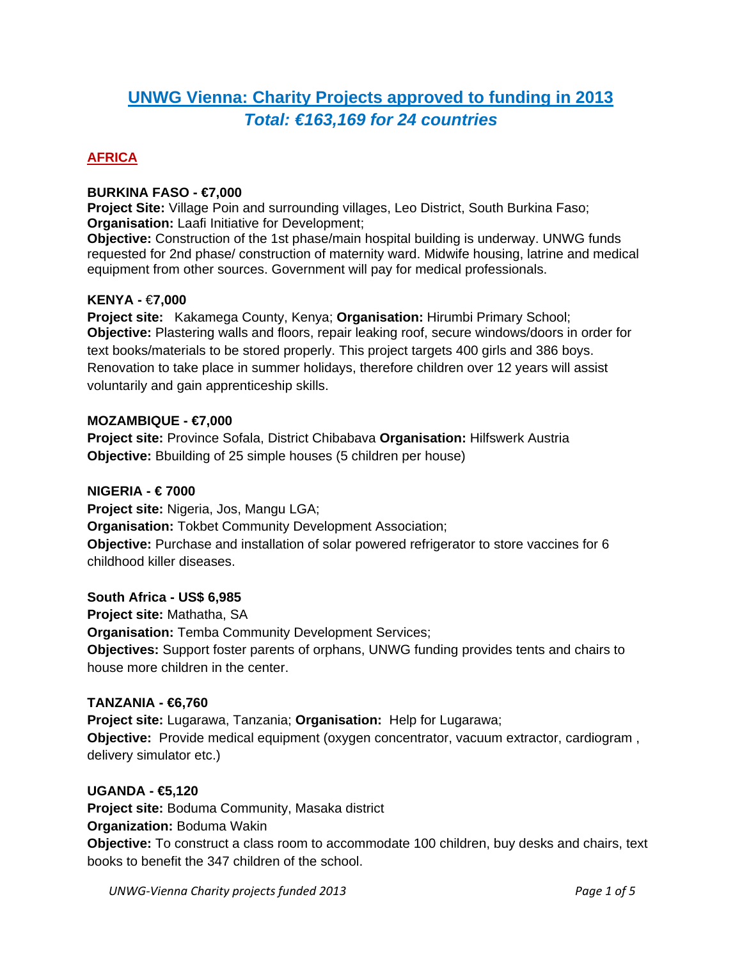## **UNWG Vienna: Charity Projects approved to funding in 2013** *Total: €163,169 for 24 countries*

## **AFRICA**

## **BURKINA FASO - €7,000**

**Project Site:** Village Poin and surrounding villages, Leo District, South Burkina Faso; **Organisation:** Laafi Initiative for Development;

**Objective:** Construction of the 1st phase/main hospital building is underway. UNWG funds requested for 2nd phase/ construction of maternity ward. Midwife housing, latrine and medical equipment from other sources. Government will pay for medical professionals.

## **KENYA -** €**7,000**

**Project site:** Kakamega County, Kenya; **Organisation:** Hirumbi Primary School; **Objective:** Plastering walls and floors, repair leaking roof, secure windows/doors in order for text books/materials to be stored properly. This project targets 400 girls and 386 boys. Renovation to take place in summer holidays, therefore children over 12 years will assist voluntarily and gain apprenticeship skills.

#### **MOZAMBIQUE - €7,000**

**Project site:** Province Sofala, District Chibabava **Organisation:** Hilfswerk Austria **Objective:** Bbuilding of 25 simple houses (5 children per house)

#### **NIGERIA - € 7000**

**Project site:** Nigeria, Jos, Mangu LGA; **Organisation:** Tokbet Community Development Association; **Objective:** Purchase and installation of solar powered refrigerator to store vaccines for 6 childhood killer diseases.

## **South Africa - US\$ 6,985**

**Project site:** Mathatha, SA **Organisation:** Temba Community Development Services; **Objectives:** Support foster parents of orphans, UNWG funding provides tents and chairs to house more children in the center.

#### **TANZANIA - €6,760**

**Project site:** Lugarawa, Tanzania; **Organisation:** Help for Lugarawa; **Objective:** Provide medical equipment (oxygen concentrator, vacuum extractor, cardiogram , delivery simulator etc.)

#### **UGANDA - €5,120**

**Project site:** Boduma Community, Masaka district **Organization:** Boduma Wakin **Objective:** To construct a class room to accommodate 100 children, buy desks and chairs, text books to benefit the 347 children of the school.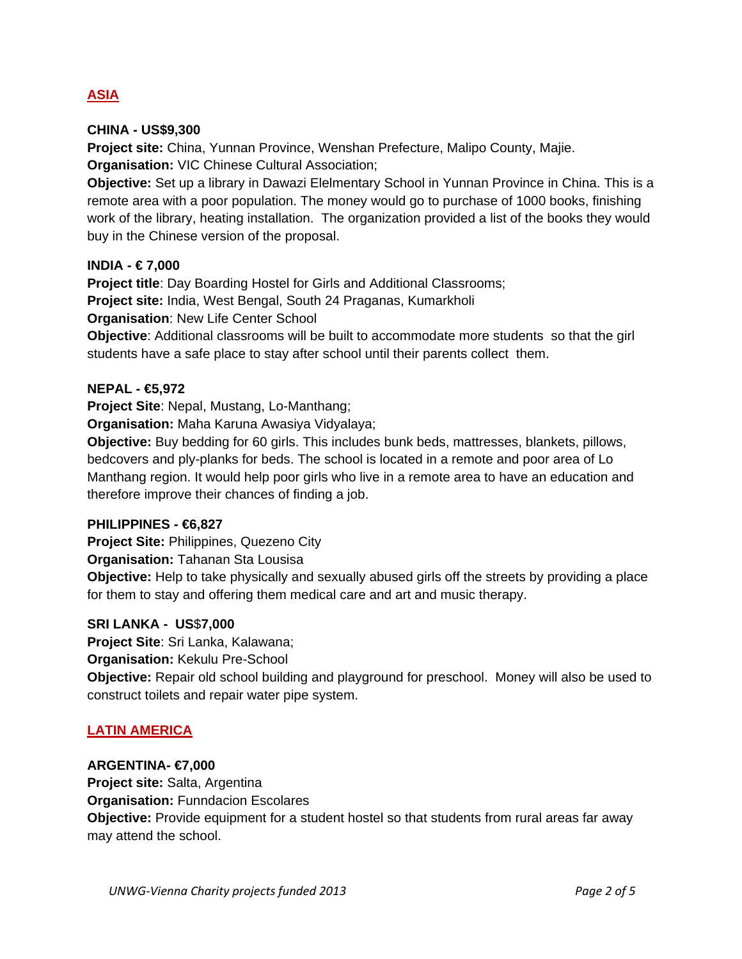## **ASIA**

## **CHINA - US\$9,300**

**Project site:** China, Yunnan Province, Wenshan Prefecture, Malipo County, Majie. **Organisation:** VIC Chinese Cultural Association;

**Objective:** Set up a library in Dawazi Elelmentary School in Yunnan Province in China. This is a remote area with a poor population. The money would go to purchase of 1000 books, finishing work of the library, heating installation. The organization provided a list of the books they would buy in the Chinese version of the proposal.

## **INDIA - € 7,000**

**Project title:** Day Boarding Hostel for Girls and Additional Classrooms; **Project site:** India, West Bengal, South 24 Praganas, Kumarkholi **Organisation**: New Life Center School

**Objective**: Additional classrooms will be built to accommodate more students so that the girl students have a safe place to stay after school until their parents collect them.

## **NEPAL - €5,972**

**Project Site**: Nepal, Mustang, Lo-Manthang;

**Organisation:** Maha Karuna Awasiya Vidyalaya;

**Objective:** Buy bedding for 60 girls. This includes bunk beds, mattresses, blankets, pillows, bedcovers and ply-planks for beds. The school is located in a remote and poor area of Lo Manthang region. It would help poor girls who live in a remote area to have an education and therefore improve their chances of finding a job.

## **PHILIPPINES - €6,827**

**Project Site:** Philippines, Quezeno City

**Organisation:** Tahanan Sta Lousisa

**Objective:** Help to take physically and sexually abused girls off the streets by providing a place for them to stay and offering them medical care and art and music therapy.

## **SRI LANKA - US**\$**7,000**

**Project Site**: Sri Lanka, Kalawana; **Organisation:** Kekulu Pre-School **Objective:** Repair old school building and playground for preschool. Money will also be used to construct toilets and repair water pipe system.

## **LATIN AMERICA**

## **ARGENTINA- €7,000**

**Project site:** Salta, Argentina **Organisation:** Funndacion Escolares **Objective:** Provide equipment for a student hostel so that students from rural areas far away may attend the school.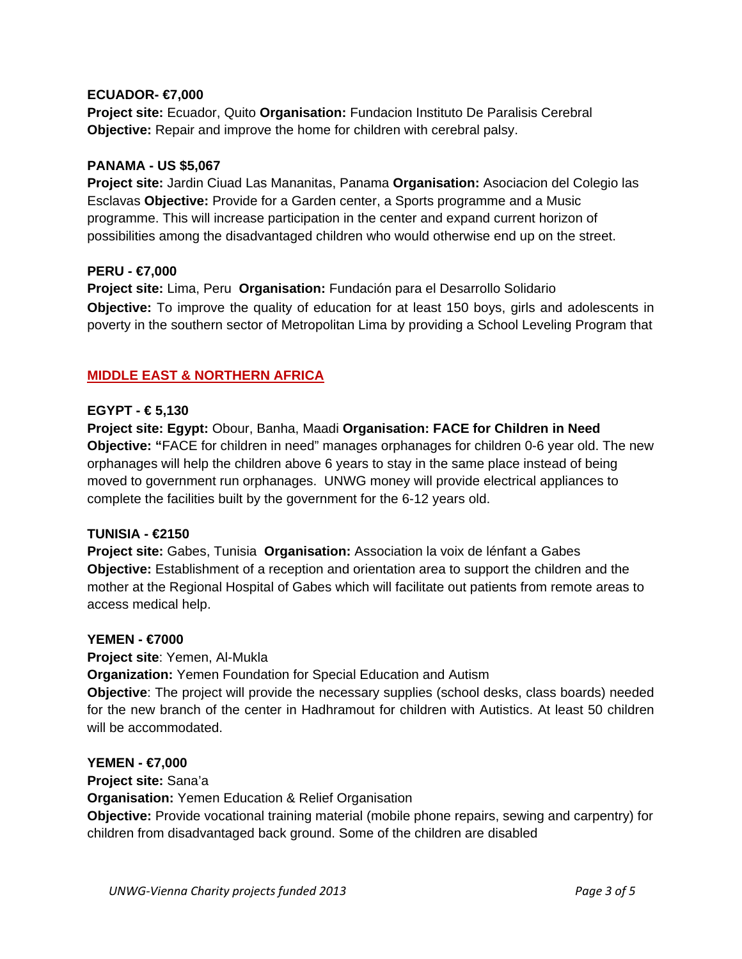## **ECUADOR- €7,000**

**Project site:** Ecuador, Quito **Organisation:** Fundacion Instituto De Paralisis Cerebral **Objective:** Repair and improve the home for children with cerebral palsy.

#### **PANAMA - US \$5,067**

**Project site:** Jardin Ciuad Las Mananitas, Panama **Organisation:** Asociacion del Colegio las Esclavas **Objective:** Provide for a Garden center, a Sports programme and a Music programme. This will increase participation in the center and expand current horizon of possibilities among the disadvantaged children who would otherwise end up on the street.

#### **PERU - €7,000**

**Project site:** Lima, Peru **Organisation:** Fundación para el Desarrollo Solidario **Objective:** To improve the quality of education for at least 150 boys, girls and adolescents in poverty in the southern sector of Metropolitan Lima by providing a School Leveling Program that

## **MIDDLE EAST & NORTHERN AFRICA**

#### **EGYPT - € 5,130**

**Project site: Egypt:** Obour, Banha, Maadi **Organisation: FACE for Children in Need Objective: "**FACE for children in need" manages orphanages for children 0-6 year old. The new orphanages will help the children above 6 years to stay in the same place instead of being moved to government run orphanages. UNWG money will provide electrical appliances to complete the facilities built by the government for the 6-12 years old.

#### **TUNISIA - €2150**

**Project site:** Gabes, Tunisia **Organisation:** Association la voix de lénfant a Gabes **Objective:** Establishment of a reception and orientation area to support the children and the mother at the Regional Hospital of Gabes which will facilitate out patients from remote areas to access medical help.

#### **YEMEN - €7000**

**Project site**: Yemen, Al-Mukla **Organization:** Yemen Foundation for Special Education and Autism **Objective**: The project will provide the necessary supplies (school desks, class boards) needed for the new branch of the center in Hadhramout for children with Autistics. At least 50 children will be accommodated.

#### **YEMEN - €7,000**

**Project site:** Sana'a

**Organisation:** Yemen Education & Relief Organisation

**Objective:** Provide vocational training material (mobile phone repairs, sewing and carpentry) for children from disadvantaged back ground. Some of the children are disabled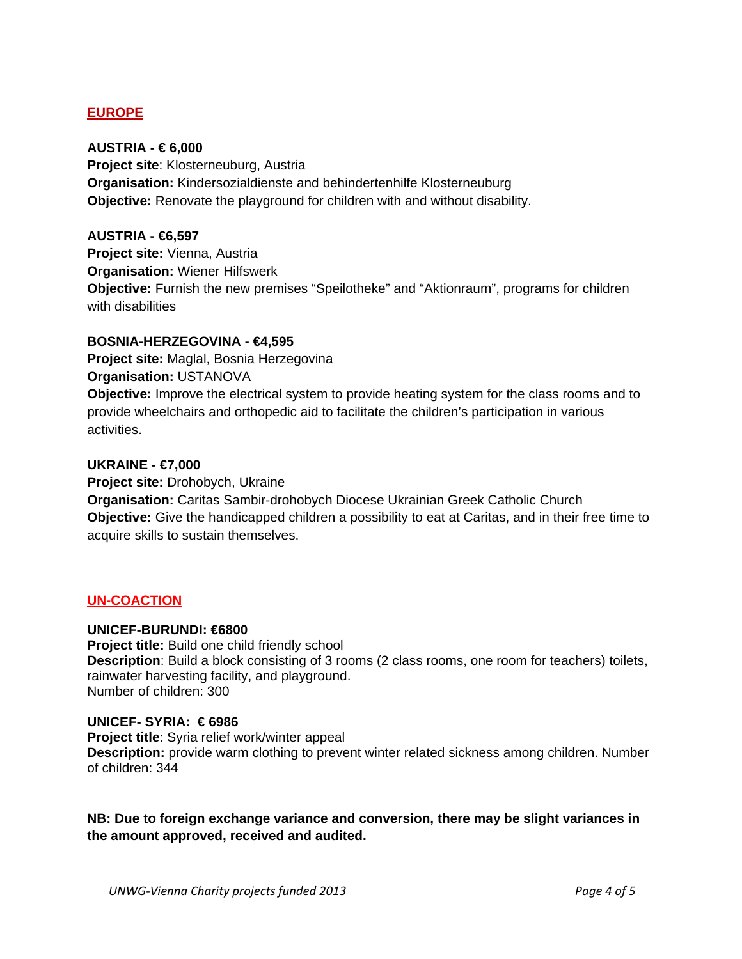## **EUROPE**

## **AUSTRIA - € 6,000**

**Project site**: Klosterneuburg, Austria **Organisation:** Kindersozialdienste and behindertenhilfe Klosterneuburg **Objective:** Renovate the playground for children with and without disability.

## **AUSTRIA - €6,597**

**Project site:** Vienna, Austria **Organisation:** Wiener Hilfswerk **Objective:** Furnish the new premises "Speilotheke" and "Aktionraum", programs for children with disabilities

## **BOSNIA-HERZEGOVINA - €4,595**

**Project site:** Maglal, Bosnia Herzegovina **Organisation:** USTANOVA

**Objective:** Improve the electrical system to provide heating system for the class rooms and to provide wheelchairs and orthopedic aid to facilitate the children's participation in various activities.

#### **UKRAINE - €7,000**

**Project site:** Drohobych, Ukraine

**Organisation:** Caritas Sambir-drohobych Diocese Ukrainian Greek Catholic Church **Objective:** Give the handicapped children a possibility to eat at Caritas, and in their free time to acquire skills to sustain themselves.

## **UN-COACTION**

## **UNICEF-BURUNDI: €6800**

**Project title:** Build one child friendly school **Description**: Build a block consisting of 3 rooms (2 class rooms, one room for teachers) toilets, rainwater harvesting facility, and playground. Number of children: 300

#### **UNICEF- SYRIA: € 6986**

**Project title**: Syria relief work/winter appeal **Description:** provide warm clothing to prevent winter related sickness among children. Number of children: 344

**NB: Due to foreign exchange variance and conversion, there may be slight variances in the amount approved, received and audited.**